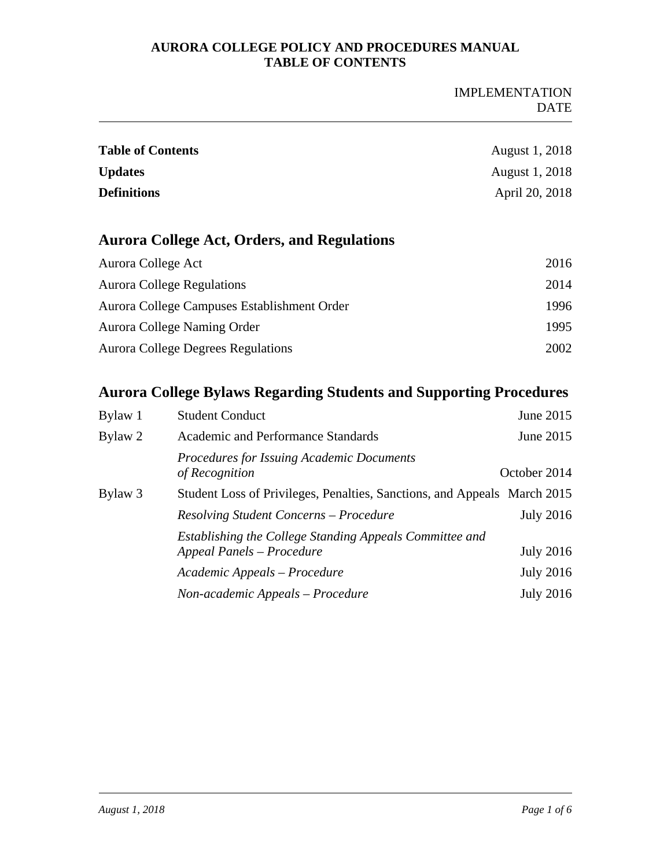#### IMPLEMENTATION DATE

| <b>Table of Contents</b> | <b>August 1, 2018</b> |
|--------------------------|-----------------------|
| <b>Updates</b>           | August 1, 2018        |
| <b>Definitions</b>       | April 20, 2018        |

# **Aurora College Act, Orders, and Regulations**

| Aurora College Act                          | 2016 |
|---------------------------------------------|------|
| <b>Aurora College Regulations</b>           | 2014 |
| Aurora College Campuses Establishment Order | 1996 |
| Aurora College Naming Order                 | 1995 |
| Aurora College Degrees Regulations          | 2002 |

## **Aurora College Bylaws Regarding Students and Supporting Procedures**

| Bylaw 1 | <b>Student Conduct</b>                                                               | June 2015        |
|---------|--------------------------------------------------------------------------------------|------------------|
| Bylaw 2 | Academic and Performance Standards                                                   | June 2015        |
|         | <b>Procedures for Issuing Academic Documents</b><br>of Recognition                   | October 2014     |
| Bylaw 3 | Student Loss of Privileges, Penalties, Sanctions, and Appeals March 2015             |                  |
|         | Resolving Student Concerns – Procedure                                               | <b>July 2016</b> |
|         | Establishing the College Standing Appeals Committee and<br>Appeal Panels - Procedure | <b>July 2016</b> |
|         | Academic Appeals – Procedure                                                         | <b>July 2016</b> |
|         | Non-academic Appeals – Procedure                                                     | <b>July 2016</b> |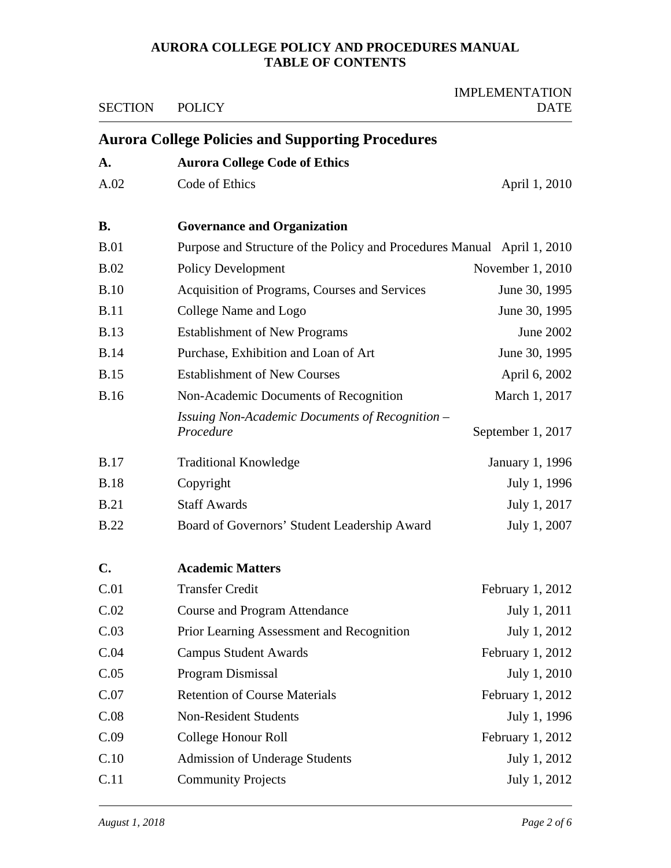| <b>SECTION</b> | <b>POLICY</b>                                                           | <b>IMPLEMENTATION</b><br><b>DATE</b> |
|----------------|-------------------------------------------------------------------------|--------------------------------------|
|                | <b>Aurora College Policies and Supporting Procedures</b>                |                                      |
| A.             | <b>Aurora College Code of Ethics</b>                                    |                                      |
| A.02           | Code of Ethics                                                          | April 1, 2010                        |
| <b>B.</b>      | <b>Governance and Organization</b>                                      |                                      |
| <b>B.01</b>    | Purpose and Structure of the Policy and Procedures Manual April 1, 2010 |                                      |
| B.02           | <b>Policy Development</b>                                               | November 1, 2010                     |
| <b>B.10</b>    | Acquisition of Programs, Courses and Services                           | June 30, 1995                        |
| <b>B.11</b>    | College Name and Logo                                                   | June 30, 1995                        |
| <b>B.13</b>    | <b>Establishment of New Programs</b>                                    | June 2002                            |
| <b>B.14</b>    | Purchase, Exhibition and Loan of Art                                    | June 30, 1995                        |
| <b>B.15</b>    | <b>Establishment of New Courses</b>                                     | April 6, 2002                        |
| <b>B.16</b>    | Non-Academic Documents of Recognition                                   | March 1, 2017                        |
|                | Issuing Non-Academic Documents of Recognition -<br>Procedure            | September 1, 2017                    |
| <b>B.17</b>    | <b>Traditional Knowledge</b>                                            | January 1, 1996                      |
| <b>B.18</b>    | Copyright                                                               | July 1, 1996                         |
| B.21           | <b>Staff Awards</b>                                                     | July 1, 2017                         |
| <b>B.22</b>    | Board of Governors' Student Leadership Award                            | July 1, 2007                         |
| $\mathbf{C}$ . | <b>Academic Matters</b>                                                 |                                      |
| C.01           | <b>Transfer Credit</b>                                                  | February $1, 2012$                   |
| C.02           | <b>Course and Program Attendance</b>                                    | July 1, 2011                         |
| C.03           | Prior Learning Assessment and Recognition                               | July 1, 2012                         |
| C.04           | <b>Campus Student Awards</b>                                            | February 1, 2012                     |
| C.05           | Program Dismissal                                                       | July 1, 2010                         |
| C.07           | <b>Retention of Course Materials</b>                                    | February 1, 2012                     |
| C.08           | Non-Resident Students                                                   | July 1, 1996                         |
| C.09           | College Honour Roll                                                     | February 1, 2012                     |
| C.10           | <b>Admission of Underage Students</b>                                   | July 1, 2012                         |
| C.11           | <b>Community Projects</b>                                               | July 1, 2012                         |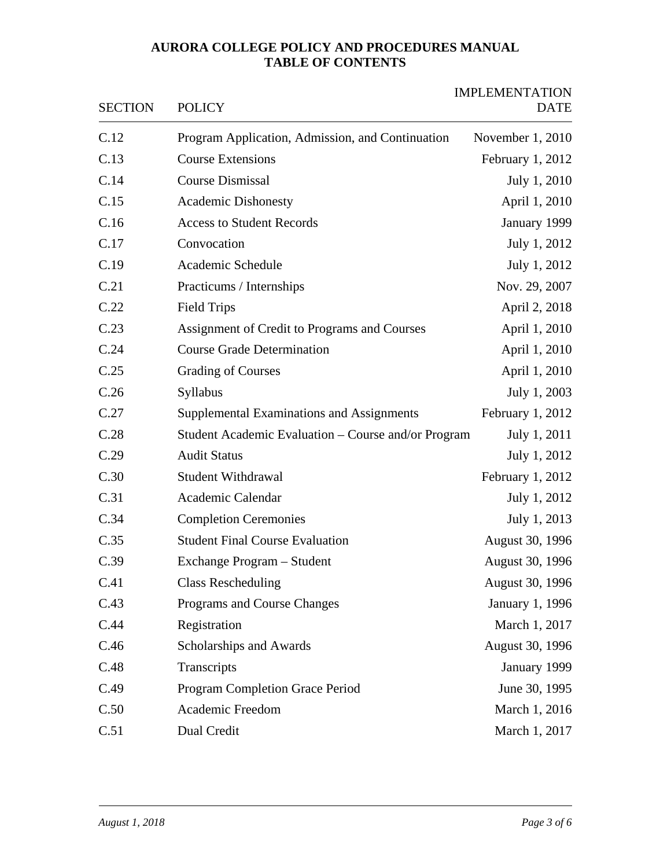| <b>SECTION</b> | <b>POLICY</b>                                       | <b>IMPLEMENTATION</b><br><b>DATE</b> |
|----------------|-----------------------------------------------------|--------------------------------------|
| C.12           | Program Application, Admission, and Continuation    | November 1, 2010                     |
| C.13           | <b>Course Extensions</b>                            | February 1, 2012                     |
| C.14           | <b>Course Dismissal</b>                             | July 1, 2010                         |
| C.15           | <b>Academic Dishonesty</b>                          | April 1, 2010                        |
| C.16           | <b>Access to Student Records</b>                    | January 1999                         |
| C.17           | Convocation                                         | July 1, 2012                         |
| C.19           | Academic Schedule                                   | July 1, 2012                         |
| C.21           | Practicums / Internships                            | Nov. 29, 2007                        |
| C.22           | <b>Field Trips</b>                                  | April 2, 2018                        |
| C.23           | Assignment of Credit to Programs and Courses        | April 1, 2010                        |
| C.24           | <b>Course Grade Determination</b>                   | April 1, 2010                        |
| C.25           | <b>Grading of Courses</b>                           | April 1, 2010                        |
| C.26           | Syllabus                                            | July 1, 2003                         |
| C.27           | Supplemental Examinations and Assignments           | February 1, 2012                     |
| C.28           | Student Academic Evaluation – Course and/or Program | July 1, 2011                         |
| C.29           | <b>Audit Status</b>                                 | July 1, 2012                         |
| C.30           | <b>Student Withdrawal</b>                           | February 1, 2012                     |
| C.31           | Academic Calendar                                   | July 1, 2012                         |
| C.34           | <b>Completion Ceremonies</b>                        | July 1, 2013                         |
| C.35           | <b>Student Final Course Evaluation</b>              | August 30, 1996                      |
| C.39           | Exchange Program - Student                          | August 30, 1996                      |
| C.41           | <b>Class Rescheduling</b>                           | August 30, 1996                      |
| C.43           | Programs and Course Changes                         | January 1, 1996                      |
| C.44           | Registration                                        | March 1, 2017                        |
| C.46           | Scholarships and Awards                             | August 30, 1996                      |
| C.48           | Transcripts                                         | January 1999                         |
| C.49           | <b>Program Completion Grace Period</b>              | June 30, 1995                        |
| C.50           | Academic Freedom                                    | March 1, 2016                        |
| C.51           | Dual Credit                                         | March 1, 2017                        |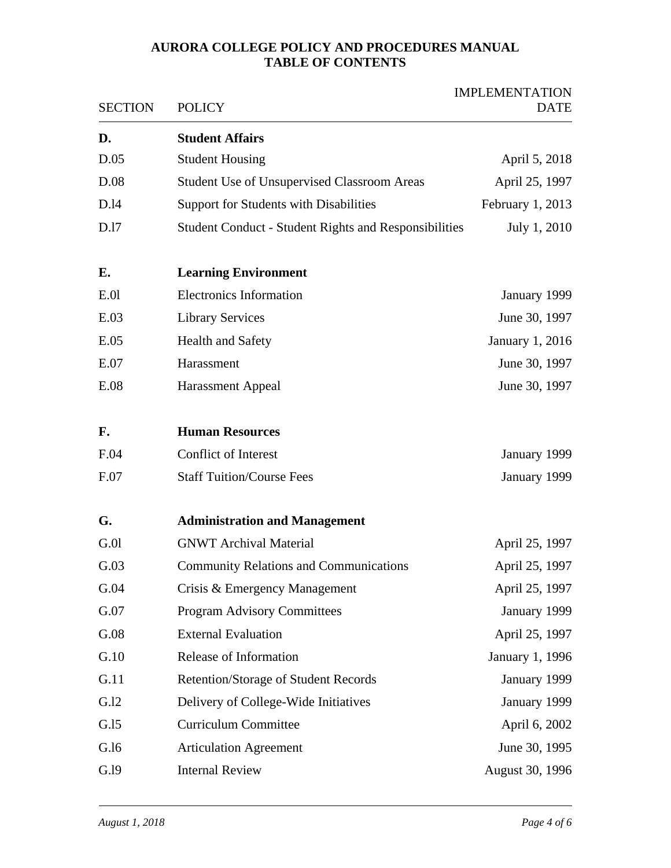| <b>SECTION</b> | <b>POLICY</b>                                                | <b>IMPLEMENTATION</b><br><b>DATE</b> |
|----------------|--------------------------------------------------------------|--------------------------------------|
| D.             | <b>Student Affairs</b>                                       |                                      |
| D.05           | <b>Student Housing</b>                                       | April 5, 2018                        |
| D.08           | <b>Student Use of Unsupervised Classroom Areas</b>           | April 25, 1997                       |
| D.14           | Support for Students with Disabilities                       | February 1, 2013                     |
| D.17           | <b>Student Conduct - Student Rights and Responsibilities</b> | July 1, 2010                         |
| E.             | <b>Learning Environment</b>                                  |                                      |
| E.01           | <b>Electronics Information</b>                               | January 1999                         |
| E.03           | <b>Library Services</b>                                      | June 30, 1997                        |
| E.05           | <b>Health and Safety</b>                                     | January 1, 2016                      |
| E.07           | Harassment                                                   | June 30, 1997                        |
| E.08           | <b>Harassment Appeal</b>                                     | June 30, 1997                        |
| F.             | <b>Human Resources</b>                                       |                                      |
| F.04           | <b>Conflict of Interest</b>                                  | January 1999                         |
| F.07           | <b>Staff Tuition/Course Fees</b>                             | January 1999                         |
| G.             | <b>Administration and Management</b>                         |                                      |
| G.01           | <b>GNWT Archival Material</b>                                | April 25, 1997                       |
| G.03           | <b>Community Relations and Communications</b>                | April 25, 1997                       |
| G.04           | Crisis & Emergency Management                                | April 25, 1997                       |
| G.07           | <b>Program Advisory Committees</b>                           | January 1999                         |
| G.08           | <b>External Evaluation</b>                                   | April 25, 1997                       |
| G.10           | Release of Information                                       | January 1, 1996                      |
| G.11           | Retention/Storage of Student Records                         | January 1999                         |
| G.I2           | Delivery of College-Wide Initiatives                         | January 1999                         |
| G.I5           | <b>Curriculum Committee</b>                                  | April 6, 2002                        |
| G.l6           | <b>Articulation Agreement</b>                                | June 30, 1995                        |
| G.19           | <b>Internal Review</b>                                       | August 30, 1996                      |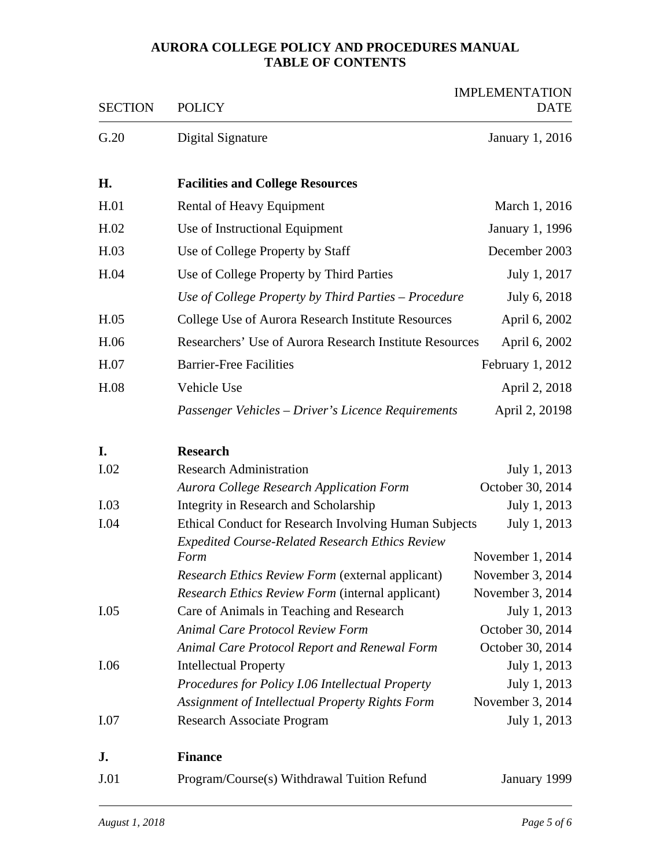| <b>SECTION</b> | <b>POLICY</b>                                                                       | <b>IMPLEMENTATION</b><br><b>DATE</b> |
|----------------|-------------------------------------------------------------------------------------|--------------------------------------|
| G.20           | Digital Signature                                                                   | January 1, 2016                      |
| Η.             | <b>Facilities and College Resources</b>                                             |                                      |
| H.01           | Rental of Heavy Equipment                                                           | March 1, 2016                        |
| H.02           | Use of Instructional Equipment                                                      | January 1, 1996                      |
| H.03           | Use of College Property by Staff                                                    | December 2003                        |
| H.04           | Use of College Property by Third Parties                                            | July 1, 2017                         |
|                | Use of College Property by Third Parties - Procedure                                | July 6, 2018                         |
| H.05           | College Use of Aurora Research Institute Resources                                  | April 6, 2002                        |
| H.06           | Researchers' Use of Aurora Research Institute Resources                             | April 6, 2002                        |
| H.07           | <b>Barrier-Free Facilities</b>                                                      | February $1, 2012$                   |
| H.08           | Vehicle Use                                                                         | April 2, 2018                        |
|                | Passenger Vehicles - Driver's Licence Requirements                                  | April 2, 20198                       |
| I.             | <b>Research</b>                                                                     |                                      |
| I.02           | <b>Research Administration</b>                                                      | July 1, 2013                         |
|                | Aurora College Research Application Form                                            | October 30, 2014                     |
| I.03           | Integrity in Research and Scholarship                                               | July 1, 2013                         |
| I.04           | Ethical Conduct for Research Involving Human Subjects                               | July 1, 2013                         |
|                | <b>Expedited Course-Related Research Ethics Review</b>                              |                                      |
|                | Form                                                                                | November 1, 2014                     |
|                | Research Ethics Review Form (external applicant)                                    | November 3, 2014                     |
|                | Research Ethics Review Form (internal applicant)                                    | November 3, 2014                     |
| I.05           | Care of Animals in Teaching and Research                                            | July 1, 2013                         |
|                | <b>Animal Care Protocol Review Form</b>                                             | October 30, 2014<br>October 30, 2014 |
| I.06           | <b>Animal Care Protocol Report and Renewal Form</b><br><b>Intellectual Property</b> | July 1, 2013                         |
|                | Procedures for Policy I.06 Intellectual Property                                    | July 1, 2013                         |
|                | Assignment of Intellectual Property Rights Form                                     | November 3, 2014                     |
| I.07           | Research Associate Program                                                          | July 1, 2013                         |
| J.             | <b>Finance</b>                                                                      |                                      |
| J.01           | Program/Course(s) Withdrawal Tuition Refund                                         | January 1999                         |